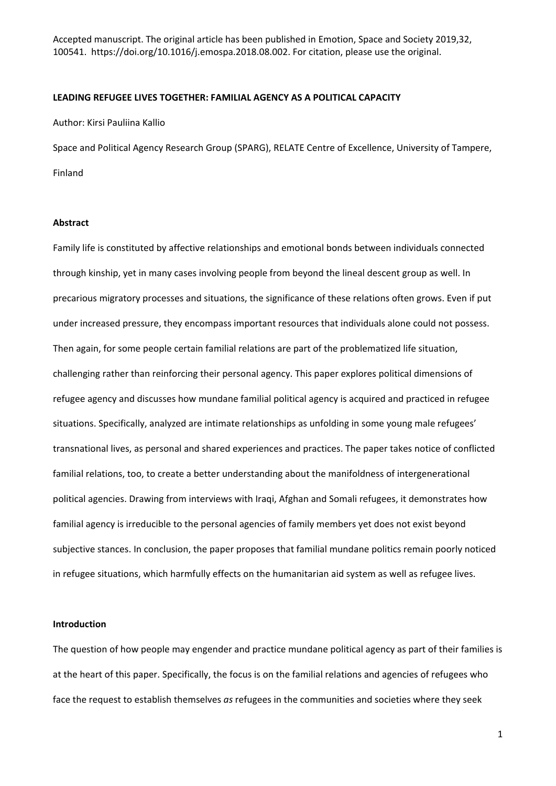Accepted manuscript. The original article has been published in Emotion, Space and Society 2019,32, 100541. https://doi.org/10.1016/j.emospa.2018.08.002. For citation, please use the original.

# **LEADING REFUGEE LIVES TOGETHER: FAMILIAL AGENCY AS A POLITICAL CAPACITY**

Author: Kirsi Pauliina Kallio

Space and Political Agency Research Group (SPARG), RELATE Centre of Excellence, University of Tampere, Finland

### **Abstract**

Family life is constituted by affective relationships and emotional bonds between individuals connected through kinship, yet in many cases involving people from beyond the lineal descent group as well. In precarious migratory processes and situations, the significance of these relations often grows. Even if put under increased pressure, they encompass important resources that individuals alone could not possess. Then again, for some people certain familial relations are part of the problematized life situation, challenging rather than reinforcing their personal agency. This paper explores political dimensions of refugee agency and discusses how mundane familial political agency is acquired and practiced in refugee situations. Specifically, analyzed are intimate relationships as unfolding in some young male refugees' transnational lives, as personal and shared experiences and practices. The paper takes notice of conflicted familial relations, too, to create a better understanding about the manifoldness of intergenerational political agencies. Drawing from interviews with Iraqi, Afghan and Somali refugees, it demonstrates how familial agency is irreducible to the personal agencies of family members yet does not exist beyond subjective stances. In conclusion, the paper proposes that familial mundane politics remain poorly noticed in refugee situations, which harmfully effects on the humanitarian aid system as well as refugee lives.

## **Introduction**

The question of how people may engender and practice mundane political agency as part of their families is at the heart of this paper. Specifically, the focus is on the familial relations and agencies of refugees who face the request to establish themselves *as* refugees in the communities and societies where they seek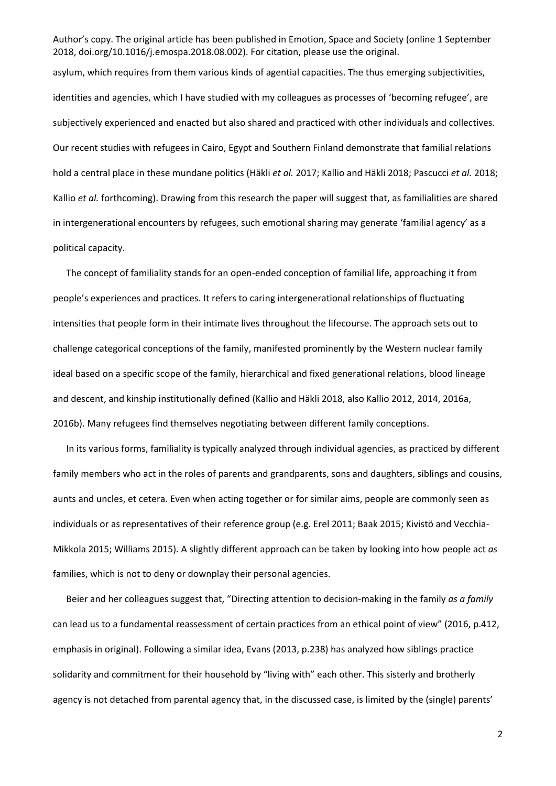asylum, which requires from them various kinds of agential capacities. The thus emerging subjectivities, identities and agencies, which I have studied with my colleagues as processes of 'becoming refugee', are subjectively experienced and enacted but also shared and practiced with other individuals and collectives. Our recent studies with refugees in Cairo, Egypt and Southern Finland demonstrate that familial relations hold a central place in these mundane politics (Häkli *et al.* 2017; Kallio and Häkli 2018; Pascucci *et al.* 2018; Kallio *et al.* forthcoming). Drawing from this research the paper will suggest that, as familialities are shared in intergenerational encounters by refugees, such emotional sharing may generate 'familial agency' as a political capacity.

The concept of familiality stands for an open-ended conception of familial life, approaching it from people's experiences and practices. It refers to caring intergenerational relationships of fluctuating intensities that people form in their intimate lives throughout the lifecourse. The approach sets out to challenge categorical conceptions of the family, manifested prominently by the Western nuclear family ideal based on a specific scope of the family, hierarchical and fixed generational relations, blood lineage and descent, and kinship institutionally defined (Kallio and Häkli 2018, also Kallio 2012, 2014, 2016a, 2016b). Many refugees find themselves negotiating between different family conceptions.

In its various forms, familiality is typically analyzed through individual agencies, as practiced by different family members who act in the roles of parents and grandparents, sons and daughters, siblings and cousins, aunts and uncles, et cetera. Even when acting together or for similar aims, people are commonly seen as individuals or as representatives of their reference group (e.g. Erel 2011; Baak 2015; Kivistö and Vecchia-Mikkola 2015; Williams 2015). A slightly different approach can be taken by looking into how people act *as*  families, which is not to deny or downplay their personal agencies.

Beier and her colleagues suggest that, "Directing attention to decision-making in the family *as a family*  can lead us to a fundamental reassessment of certain practices from an ethical point of view" (2016, p.412, emphasis in original). Following a similar idea, Evans (2013, p.238) has analyzed how siblings practice solidarity and commitment for their household by "living with" each other. This sisterly and brotherly agency is not detached from parental agency that, in the discussed case, is limited by the (single) parents'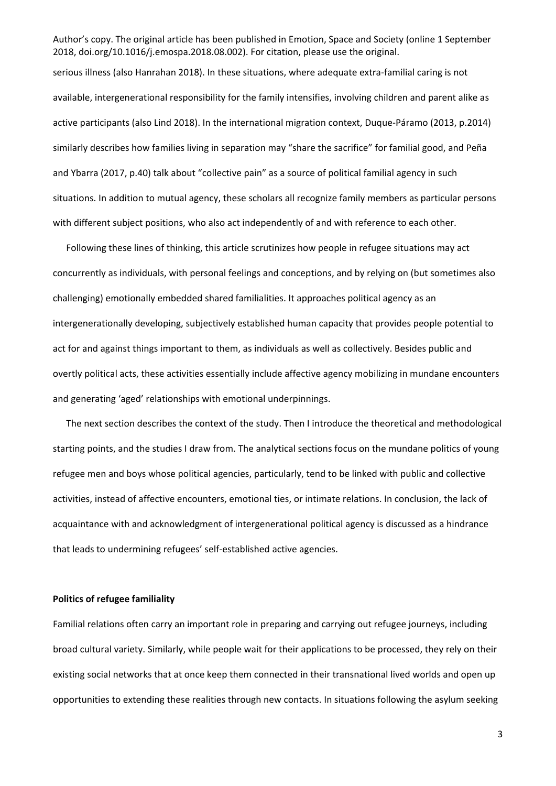serious illness (also Hanrahan 2018). In these situations, where adequate extra-familial caring is not available, intergenerational responsibility for the family intensifies, involving children and parent alike as active participants (also Lind 2018). In the international migration context, Duque-Páramo (2013, p.2014) similarly describes how families living in separation may "share the sacrifice" for familial good, and Peña and Ybarra (2017, p.40) talk about "collective pain" as a source of political familial agency in such situations. In addition to mutual agency, these scholars all recognize family members as particular persons with different subject positions, who also act independently of and with reference to each other.

Following these lines of thinking, this article scrutinizes how people in refugee situations may act concurrently as individuals, with personal feelings and conceptions, and by relying on (but sometimes also challenging) emotionally embedded shared familialities. It approaches political agency as an intergenerationally developing, subjectively established human capacity that provides people potential to act for and against things important to them, as individuals as well as collectively. Besides public and overtly political acts, these activities essentially include affective agency mobilizing in mundane encounters and generating 'aged' relationships with emotional underpinnings.

The next section describes the context of the study. Then I introduce the theoretical and methodological starting points, and the studies I draw from. The analytical sections focus on the mundane politics of young refugee men and boys whose political agencies, particularly, tend to be linked with public and collective activities, instead of affective encounters, emotional ties, or intimate relations. In conclusion, the lack of acquaintance with and acknowledgment of intergenerational political agency is discussed as a hindrance that leads to undermining refugees' self-established active agencies.

# **Politics of refugee familiality**

Familial relations often carry an important role in preparing and carrying out refugee journeys, including broad cultural variety. Similarly, while people wait for their applications to be processed, they rely on their existing social networks that at once keep them connected in their transnational lived worlds and open up opportunities to extending these realities through new contacts. In situations following the asylum seeking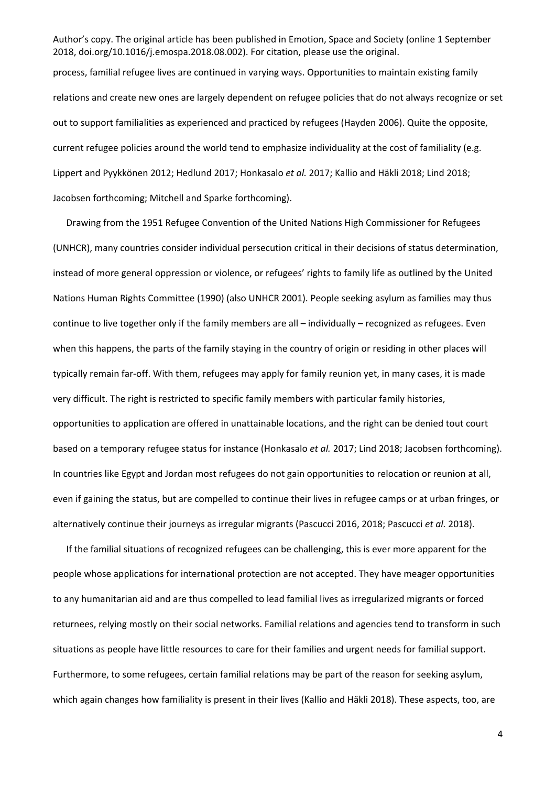process, familial refugee lives are continued in varying ways. Opportunities to maintain existing family relations and create new ones are largely dependent on refugee policies that do not always recognize or set out to support familialities as experienced and practiced by refugees (Hayden 2006). Quite the opposite, current refugee policies around the world tend to emphasize individuality at the cost of familiality (e.g. Lippert and Pyykkönen 2012; Hedlund 2017; Honkasalo *et al.* 2017; Kallio and Häkli 2018; Lind 2018; Jacobsen forthcoming; Mitchell and Sparke forthcoming).

Drawing from the 1951 Refugee Convention of the United Nations High Commissioner for Refugees (UNHCR), many countries consider individual persecution critical in their decisions of status determination, instead of more general oppression or violence, or refugees' rights to family life as outlined by the United Nations Human Rights Committee (1990) (also UNHCR 2001). People seeking asylum as families may thus continue to live together only if the family members are all – individually – recognized as refugees. Even when this happens, the parts of the family staying in the country of origin or residing in other places will typically remain far-off. With them, refugees may apply for family reunion yet, in many cases, it is made very difficult. The right is restricted to specific family members with particular family histories, opportunities to application are offered in unattainable locations, and the right can be denied tout court based on a temporary refugee status for instance (Honkasalo *et al.* 2017; Lind 2018; Jacobsen forthcoming). In countries like Egypt and Jordan most refugees do not gain opportunities to relocation or reunion at all, even if gaining the status, but are compelled to continue their lives in refugee camps or at urban fringes, or alternatively continue their journeys as irregular migrants (Pascucci 2016, 2018; Pascucci *et al.* 2018).

If the familial situations of recognized refugees can be challenging, this is ever more apparent for the people whose applications for international protection are not accepted. They have meager opportunities to any humanitarian aid and are thus compelled to lead familial lives as irregularized migrants or forced returnees, relying mostly on their social networks. Familial relations and agencies tend to transform in such situations as people have little resources to care for their families and urgent needs for familial support. Furthermore, to some refugees, certain familial relations may be part of the reason for seeking asylum, which again changes how familiality is present in their lives (Kallio and Häkli 2018). These aspects, too, are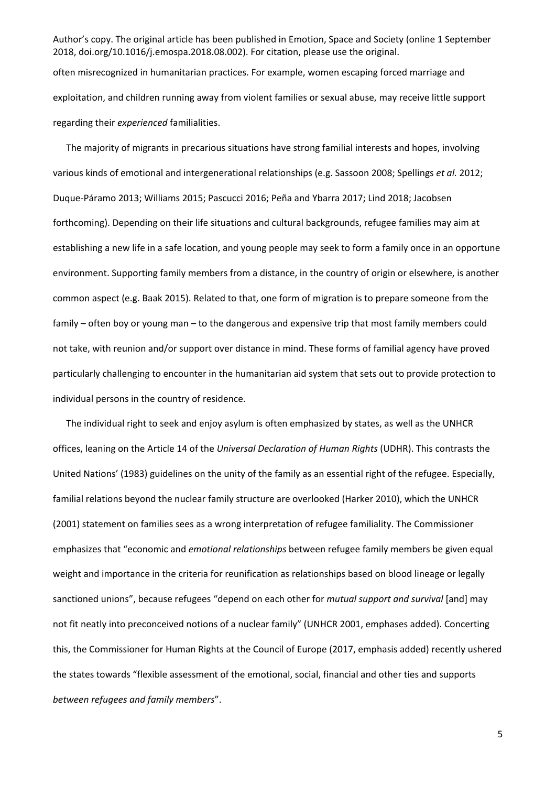Author's copy. The original article has been published in Emotion, Space and Society (online 1 September 2018, doi.org/10.1016/j.emospa.2018.08.002). For citation, please use the original. often misrecognized in humanitarian practices. For example, women escaping forced marriage and exploitation, and children running away from violent families or sexual abuse, may receive little support regarding their *experienced* familialities.

The majority of migrants in precarious situations have strong familial interests and hopes, involving various kinds of emotional and intergenerational relationships (e.g. Sassoon 2008; Spellings *et al.* 2012; Duque-Páramo 2013; Williams 2015; Pascucci 2016; Peña and Ybarra 2017; Lind 2018; Jacobsen forthcoming). Depending on their life situations and cultural backgrounds, refugee families may aim at establishing a new life in a safe location, and young people may seek to form a family once in an opportune environment. Supporting family members from a distance, in the country of origin or elsewhere, is another common aspect (e.g. Baak 2015). Related to that, one form of migration is to prepare someone from the family – often boy or young man – to the dangerous and expensive trip that most family members could not take, with reunion and/or support over distance in mind. These forms of familial agency have proved particularly challenging to encounter in the humanitarian aid system that sets out to provide protection to individual persons in the country of residence.

The individual right to seek and enjoy asylum is often emphasized by states, as well as the UNHCR offices, leaning on the Article 14 of the *Universal Declaration of Human Rights* (UDHR). This contrasts the United Nations' (1983) guidelines on the unity of the family as an essential right of the refugee. Especially, familial relations beyond the nuclear family structure are overlooked (Harker 2010), which the UNHCR (2001) statement on families sees as a wrong interpretation of refugee familiality. The Commissioner emphasizes that "economic and *emotional relationships* between refugee family members be given equal weight and importance in the criteria for reunification as relationships based on blood lineage or legally sanctioned unions", because refugees "depend on each other for *mutual support and survival* [and] may not fit neatly into preconceived notions of a nuclear family" (UNHCR 2001, emphases added). Concerting this, the Commissioner for Human Rights at the Council of Europe (2017, emphasis added) recently ushered the states towards "flexible assessment of the emotional, social, financial and other ties and supports *between refugees and family members*".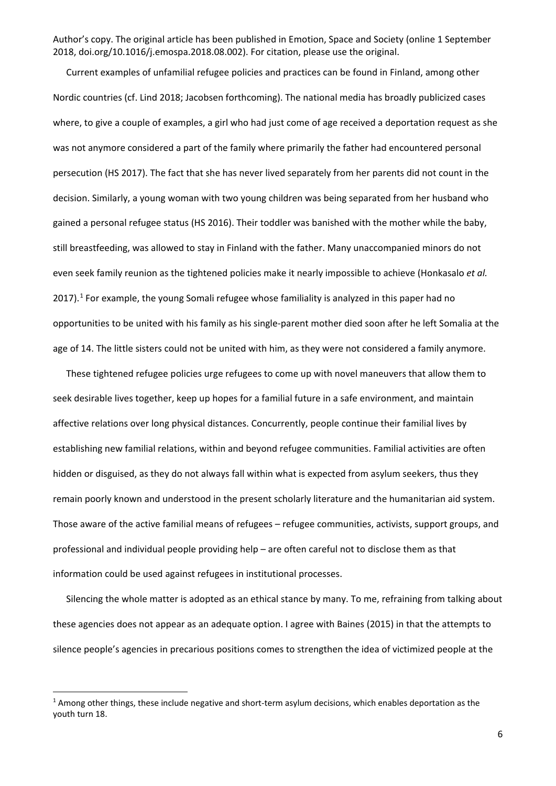Current examples of unfamilial refugee policies and practices can be found in Finland, among other Nordic countries (cf. Lind 2018; Jacobsen forthcoming). The national media has broadly publicized cases where, to give a couple of examples, a girl who had just come of age received a deportation request as she was not anymore considered a part of the family where primarily the father had encountered personal persecution (HS 2017). The fact that she has never lived separately from her parents did not count in the decision. Similarly, a young woman with two young children was being separated from her husband who gained a personal refugee status (HS 2016). Their toddler was banished with the mother while the baby, still breastfeeding, was allowed to stay in Finland with the father. Many unaccompanied minors do not even seek family reunion as the tightened policies make it nearly impossible to achieve (Honkasalo *et al.*  20[1](#page-5-0)7).<sup>1</sup> For example, the young Somali refugee whose familiality is analyzed in this paper had no opportunities to be united with his family as his single-parent mother died soon after he left Somalia at the age of 14. The little sisters could not be united with him, as they were not considered a family anymore.

These tightened refugee policies urge refugees to come up with novel maneuvers that allow them to seek desirable lives together, keep up hopes for a familial future in a safe environment, and maintain affective relations over long physical distances. Concurrently, people continue their familial lives by establishing new familial relations, within and beyond refugee communities. Familial activities are often hidden or disguised, as they do not always fall within what is expected from asylum seekers, thus they remain poorly known and understood in the present scholarly literature and the humanitarian aid system. Those aware of the active familial means of refugees – refugee communities, activists, support groups, and professional and individual people providing help – are often careful not to disclose them as that information could be used against refugees in institutional processes.

Silencing the whole matter is adopted as an ethical stance by many. To me, refraining from talking about these agencies does not appear as an adequate option. I agree with Baines (2015) in that the attempts to silence people's agencies in precarious positions comes to strengthen the idea of victimized people at the

<span id="page-5-0"></span><sup>&</sup>lt;sup>1</sup> Among other things, these include negative and short-term asylum decisions, which enables deportation as the youth turn 18.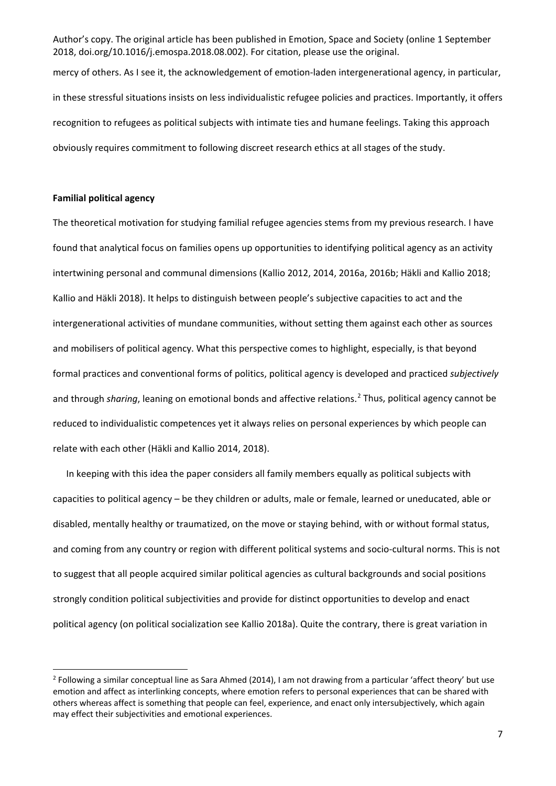mercy of others. As I see it, the acknowledgement of emotion-laden intergenerational agency, in particular, in these stressful situations insists on less individualistic refugee policies and practices. Importantly, it offers recognition to refugees as political subjects with intimate ties and humane feelings. Taking this approach obviously requires commitment to following discreet research ethics at all stages of the study.

## **Familial political agency**

The theoretical motivation for studying familial refugee agencies stems from my previous research. I have found that analytical focus on families opens up opportunities to identifying political agency as an activity intertwining personal and communal dimensions (Kallio 2012, 2014, 2016a, 2016b; Häkli and Kallio 2018; Kallio and Häkli 2018). It helps to distinguish between people's subjective capacities to act and the intergenerational activities of mundane communities, without setting them against each other as sources and mobilisers of political agency. What this perspective comes to highlight, especially, is that beyond formal practices and conventional forms of politics, political agency is developed and practiced *subjectively* and through *sharing*, leaning on emotional bonds and affective relations. [2](#page-6-0) Thus, political agency cannot be reduced to individualistic competences yet it always relies on personal experiences by which people can relate with each other (Häkli and Kallio 2014, 2018).

In keeping with this idea the paper considers all family members equally as political subjects with capacities to political agency – be they children or adults, male or female, learned or uneducated, able or disabled, mentally healthy or traumatized, on the move or staying behind, with or without formal status, and coming from any country or region with different political systems and socio-cultural norms. This is not to suggest that all people acquired similar political agencies as cultural backgrounds and social positions strongly condition political subjectivities and provide for distinct opportunities to develop and enact political agency (on political socialization see Kallio 2018a). Quite the contrary, there is great variation in

<span id="page-6-0"></span> $2$  Following a similar conceptual line as Sara Ahmed (2014), I am not drawing from a particular 'affect theory' but use emotion and affect as interlinking concepts, where emotion refers to personal experiences that can be shared with others whereas affect is something that people can feel, experience, and enact only intersubjectively, which again may effect their subjectivities and emotional experiences.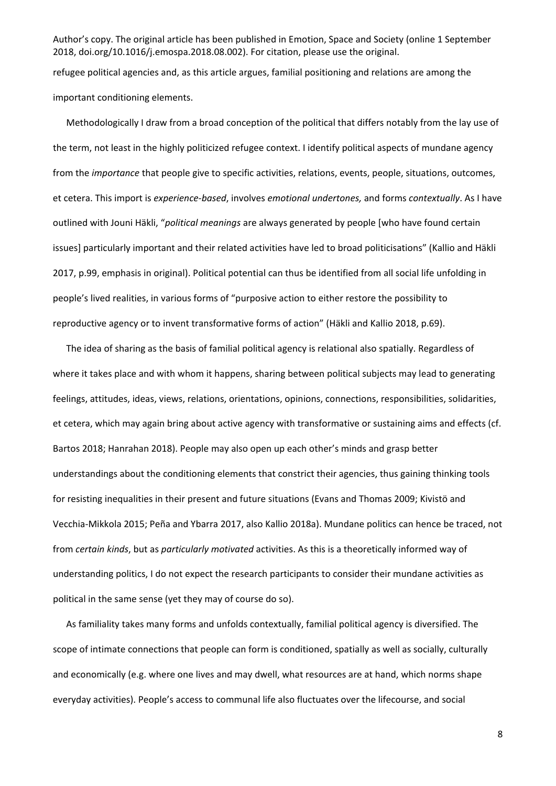refugee political agencies and, as this article argues, familial positioning and relations are among the important conditioning elements.

Methodologically I draw from a broad conception of the political that differs notably from the lay use of the term, not least in the highly politicized refugee context. I identify political aspects of mundane agency from the *importance* that people give to specific activities, relations, events, people, situations, outcomes, et cetera. This import is *experience-based*, involves *emotional undertones,* and forms *contextually*. As I have outlined with Jouni Häkli, "*political meanings* are always generated by people [who have found certain issues] particularly important and their related activities have led to broad politicisations" (Kallio and Häkli 2017, p.99, emphasis in original). Political potential can thus be identified from all social life unfolding in people's lived realities, in various forms of "purposive action to either restore the possibility to reproductive agency or to invent transformative forms of action" (Häkli and Kallio 2018, p.69).

The idea of sharing as the basis of familial political agency is relational also spatially. Regardless of where it takes place and with whom it happens, sharing between political subjects may lead to generating feelings, attitudes, ideas, views, relations, orientations, opinions, connections, responsibilities, solidarities, et cetera, which may again bring about active agency with transformative or sustaining aims and effects (cf. Bartos 2018; Hanrahan 2018). People may also open up each other's minds and grasp better understandings about the conditioning elements that constrict their agencies, thus gaining thinking tools for resisting inequalities in their present and future situations (Evans and Thomas 2009; Kivistö and Vecchia-Mikkola 2015; Peña and Ybarra 2017, also Kallio 2018a). Mundane politics can hence be traced, not from *certain kinds*, but as *particularly motivated* activities. As this is a theoretically informed way of understanding politics, I do not expect the research participants to consider their mundane activities as political in the same sense (yet they may of course do so).

As familiality takes many forms and unfolds contextually, familial political agency is diversified. The scope of intimate connections that people can form is conditioned, spatially as well as socially, culturally and economically (e.g. where one lives and may dwell, what resources are at hand, which norms shape everyday activities). People's access to communal life also fluctuates over the lifecourse, and social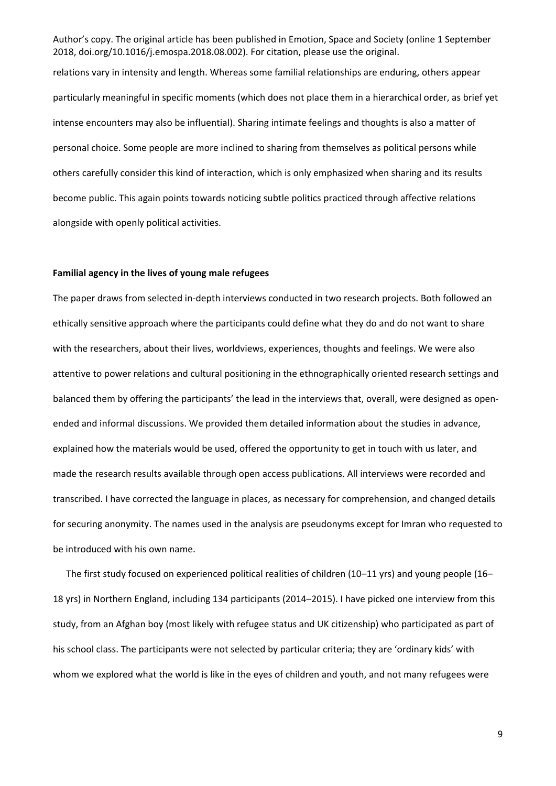Author's copy. The original article has been published in Emotion, Space and Society (online 1 September 2018, doi.org/10.1016/j.emospa.2018.08.002). For citation, please use the original. relations vary in intensity and length. Whereas some familial relationships are enduring, others appear particularly meaningful in specific moments (which does not place them in a hierarchical order, as brief yet intense encounters may also be influential). Sharing intimate feelings and thoughts is also a matter of personal choice. Some people are more inclined to sharing from themselves as political persons while others carefully consider this kind of interaction, which is only emphasized when sharing and its results become public. This again points towards noticing subtle politics practiced through affective relations alongside with openly political activities.

# **Familial agency in the lives of young male refugees**

The paper draws from selected in-depth interviews conducted in two research projects. Both followed an ethically sensitive approach where the participants could define what they do and do not want to share with the researchers, about their lives, worldviews, experiences, thoughts and feelings. We were also attentive to power relations and cultural positioning in the ethnographically oriented research settings and balanced them by offering the participants' the lead in the interviews that, overall, were designed as openended and informal discussions. We provided them detailed information about the studies in advance, explained how the materials would be used, offered the opportunity to get in touch with us later, and made the research results available through open access publications. All interviews were recorded and transcribed. I have corrected the language in places, as necessary for comprehension, and changed details for securing anonymity. The names used in the analysis are pseudonyms except for Imran who requested to be introduced with his own name.

The first study focused on experienced political realities of children (10–11 yrs) and young people (16– 18 yrs) in Northern England, including 134 participants (2014–2015). I have picked one interview from this study, from an Afghan boy (most likely with refugee status and UK citizenship) who participated as part of his school class. The participants were not selected by particular criteria; they are 'ordinary kids' with whom we explored what the world is like in the eyes of children and youth, and not many refugees were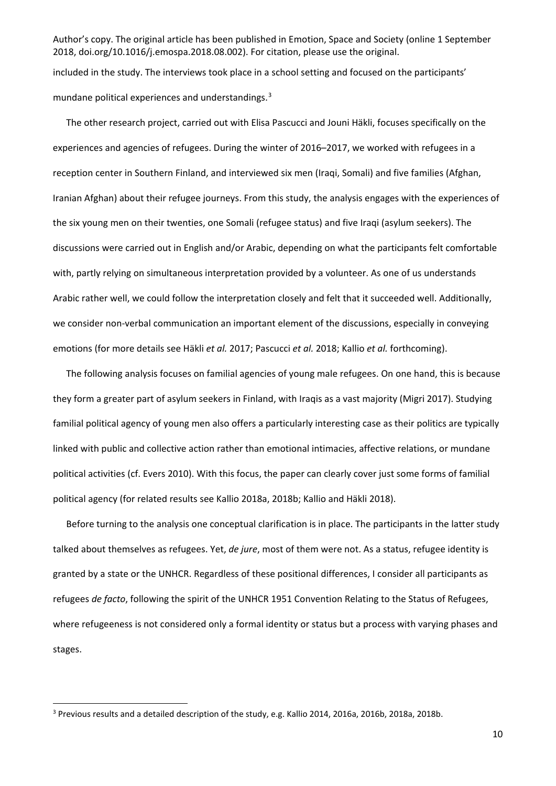Author's copy. The original article has been published in Emotion, Space and Society (online 1 September 2018, doi.org/10.1016/j.emospa.2018.08.002). For citation, please use the original. included in the study. The interviews took place in a school setting and focused on the participants' mundane political experiences and understandings.<sup>[3](#page-9-0)</sup>

The other research project, carried out with Elisa Pascucci and Jouni Häkli, focuses specifically on the experiences and agencies of refugees. During the winter of 2016–2017, we worked with refugees in a reception center in Southern Finland, and interviewed six men (Iraqi, Somali) and five families (Afghan, Iranian Afghan) about their refugee journeys. From this study, the analysis engages with the experiences of the six young men on their twenties, one Somali (refugee status) and five Iraqi (asylum seekers). The discussions were carried out in English and/or Arabic, depending on what the participants felt comfortable with, partly relying on simultaneous interpretation provided by a volunteer. As one of us understands Arabic rather well, we could follow the interpretation closely and felt that it succeeded well. Additionally, we consider non-verbal communication an important element of the discussions, especially in conveying emotions (for more details see Häkli *et al.* 2017; Pascucci *et al.* 2018; Kallio *et al.* forthcoming).

The following analysis focuses on familial agencies of young male refugees. On one hand, this is because they form a greater part of asylum seekers in Finland, with Iraqis as a vast majority (Migri 2017). Studying familial political agency of young men also offers a particularly interesting case as their politics are typically linked with public and collective action rather than emotional intimacies, affective relations, or mundane political activities (cf. Evers 2010). With this focus, the paper can clearly cover just some forms of familial political agency (for related results see Kallio 2018a, 2018b; Kallio and Häkli 2018).

Before turning to the analysis one conceptual clarification is in place. The participants in the latter study talked about themselves as refugees. Yet, *de jure*, most of them were not. As a status, refugee identity is granted by a state or the UNHCR. Regardless of these positional differences, I consider all participants as refugees *de facto*, following the spirit of the UNHCR 1951 Convention Relating to the Status of Refugees, where refugeeness is not considered only a formal identity or status but a process with varying phases and stages.

<span id="page-9-0"></span><sup>&</sup>lt;sup>3</sup> Previous results and a detailed description of the study, e.g. Kallio 2014, 2016a, 2016b, 2018a, 2018b.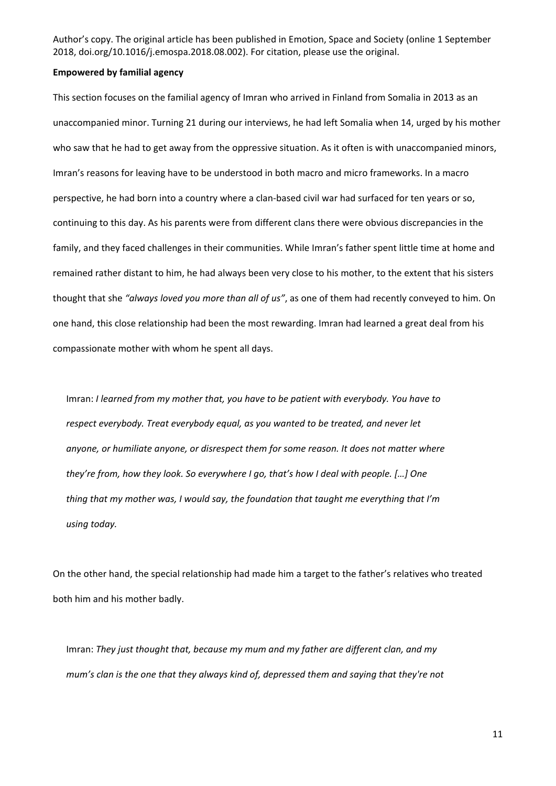## **Empowered by familial agency**

This section focuses on the familial agency of Imran who arrived in Finland from Somalia in 2013 as an unaccompanied minor. Turning 21 during our interviews, he had left Somalia when 14, urged by his mother who saw that he had to get away from the oppressive situation. As it often is with unaccompanied minors, Imran's reasons for leaving have to be understood in both macro and micro frameworks. In a macro perspective, he had born into a country where a clan-based civil war had surfaced for ten years or so, continuing to this day. As his parents were from different clans there were obvious discrepancies in the family, and they faced challenges in their communities. While Imran's father spent little time at home and remained rather distant to him, he had always been very close to his mother, to the extent that his sisters thought that she *"always loved you more than all of us"*, as one of them had recently conveyed to him. On one hand, this close relationship had been the most rewarding. Imran had learned a great deal from his compassionate mother with whom he spent all days.

Imran: *I learned from my mother that, you have to be patient with everybody. You have to respect everybody. Treat everybody equal, as you wanted to be treated, and never let anyone, or humiliate anyone, or disrespect them for some reason. It does not matter where they're from, how they look. So everywhere I go, that's how I deal with people. […] One thing that my mother was, I would say, the foundation that taught me everything that I'm using today.* 

On the other hand, the special relationship had made him a target to the father's relatives who treated both him and his mother badly.

Imran: *They just thought that, because my mum and my father are different clan, and my mum's clan is the one that they always kind of, depressed them and saying that they're not*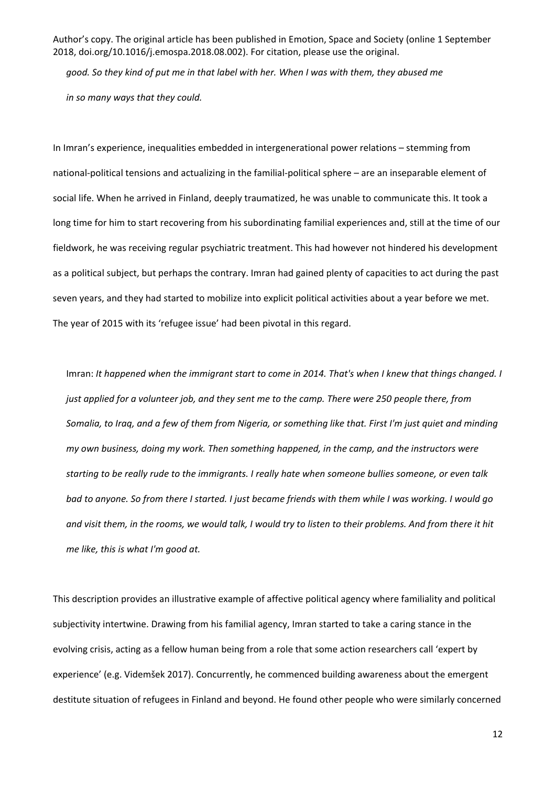*good. So they kind of put me in that label with her. When I was with them, they abused me in so many ways that they could.*

In Imran's experience, inequalities embedded in intergenerational power relations – stemming from national-political tensions and actualizing in the familial-political sphere – are an inseparable element of social life. When he arrived in Finland, deeply traumatized, he was unable to communicate this. It took a long time for him to start recovering from his subordinating familial experiences and, still at the time of our fieldwork, he was receiving regular psychiatric treatment. This had however not hindered his development as a political subject, but perhaps the contrary. Imran had gained plenty of capacities to act during the past seven years, and they had started to mobilize into explicit political activities about a year before we met. The year of 2015 with its 'refugee issue' had been pivotal in this regard.

Imran: *It happened when the immigrant start to come in 2014. That's when I knew that things changed. I just applied for a volunteer job, and they sent me to the camp. There were 250 people there, from Somalia, to Iraq, and a few of them from Nigeria, or something like that. First I'm just quiet and minding my own business, doing my work. Then something happened, in the camp, and the instructors were starting to be really rude to the immigrants. I really hate when someone bullies someone, or even talk bad to anyone. So from there I started. I just became friends with them while I was working. I would go and visit them, in the rooms, we would talk, I would try to listen to their problems. And from there it hit me like, this is what I'm good at.*

This description provides an illustrative example of affective political agency where familiality and political subjectivity intertwine. Drawing from his familial agency, Imran started to take a caring stance in the evolving crisis, acting as a fellow human being from a role that some action researchers call 'expert by experience' (e.g. Videmšek 2017). Concurrently, he commenced building awareness about the emergent destitute situation of refugees in Finland and beyond. He found other people who were similarly concerned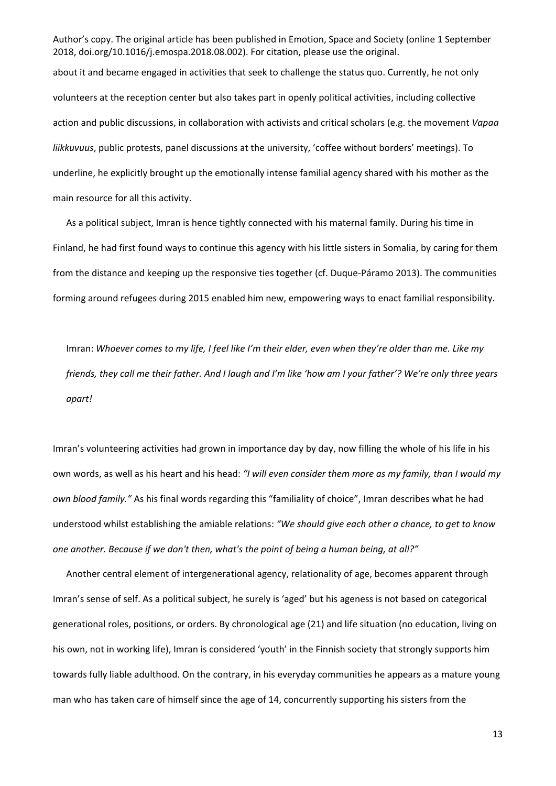Author's copy. The original article has been published in Emotion, Space and Society (online 1 September 2018, doi.org/10.1016/j.emospa.2018.08.002). For citation, please use the original. about it and became engaged in activities that seek to challenge the status quo. Currently, he not only volunteers at the reception center but also takes part in openly political activities, including collective action and public discussions, in collaboration with activists and critical scholars (e.g. the movement *Vapaa liikkuvuus*, public protests, panel discussions at the university, 'coffee without borders' meetings). To underline, he explicitly brought up the emotionally intense familial agency shared with his mother as the main resource for all this activity.

As a political subject, Imran is hence tightly connected with his maternal family. During his time in Finland, he had first found ways to continue this agency with his little sisters in Somalia, by caring for them from the distance and keeping up the responsive ties together (cf. Duque-Páramo 2013). The communities forming around refugees during 2015 enabled him new, empowering ways to enact familial responsibility.

Imran: *Whoever comes to my life, I feel like I'm their elder, even when they're older than me. Like my friends, they call me their father. And I laugh and I'm like 'how am I your father'? We're only three years apart!*

Imran's volunteering activities had grown in importance day by day, now filling the whole of his life in his own words, as well as his heart and his head: *"I will even consider them more as my family, than I would my own blood family."* As his final words regarding this "familiality of choice", Imran describes what he had understood whilst establishing the amiable relations: *"We should give each other a chance, to get to know one another. Because if we don't then, what's the point of being a human being, at all?"*

Another central element of intergenerational agency, relationality of age, becomes apparent through Imran's sense of self. As a political subject, he surely is 'aged' but his ageness is not based on categorical generational roles, positions, or orders. By chronological age (21) and life situation (no education, living on his own, not in working life), Imran is considered 'youth' in the Finnish society that strongly supports him towards fully liable adulthood. On the contrary, in his everyday communities he appears as a mature young man who has taken care of himself since the age of 14, concurrently supporting his sisters from the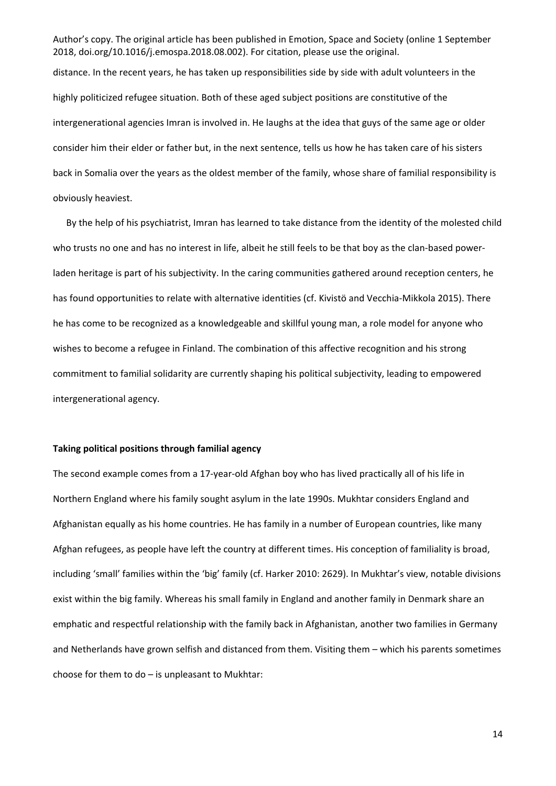Author's copy. The original article has been published in Emotion, Space and Society (online 1 September 2018, doi.org/10.1016/j.emospa.2018.08.002). For citation, please use the original. distance. In the recent years, he has taken up responsibilities side by side with adult volunteers in the highly politicized refugee situation. Both of these aged subject positions are constitutive of the intergenerational agencies Imran is involved in. He laughs at the idea that guys of the same age or older consider him their elder or father but, in the next sentence, tells us how he has taken care of his sisters back in Somalia over the years as the oldest member of the family, whose share of familial responsibility is obviously heaviest.

By the help of his psychiatrist, Imran has learned to take distance from the identity of the molested child who trusts no one and has no interest in life, albeit he still feels to be that boy as the clan-based powerladen heritage is part of his subjectivity. In the caring communities gathered around reception centers, he has found opportunities to relate with alternative identities (cf. Kivistö and Vecchia-Mikkola 2015). There he has come to be recognized as a knowledgeable and skillful young man, a role model for anyone who wishes to become a refugee in Finland. The combination of this affective recognition and his strong commitment to familial solidarity are currently shaping his political subjectivity, leading to empowered intergenerational agency.

### **Taking political positions through familial agency**

The second example comes from a 17-year-old Afghan boy who has lived practically all of his life in Northern England where his family sought asylum in the late 1990s. Mukhtar considers England and Afghanistan equally as his home countries. He has family in a number of European countries, like many Afghan refugees, as people have left the country at different times. His conception of familiality is broad, including 'small' families within the 'big' family (cf. Harker 2010: 2629). In Mukhtar's view, notable divisions exist within the big family. Whereas his small family in England and another family in Denmark share an emphatic and respectful relationship with the family back in Afghanistan, another two families in Germany and Netherlands have grown selfish and distanced from them. Visiting them – which his parents sometimes choose for them to do – is unpleasant to Mukhtar: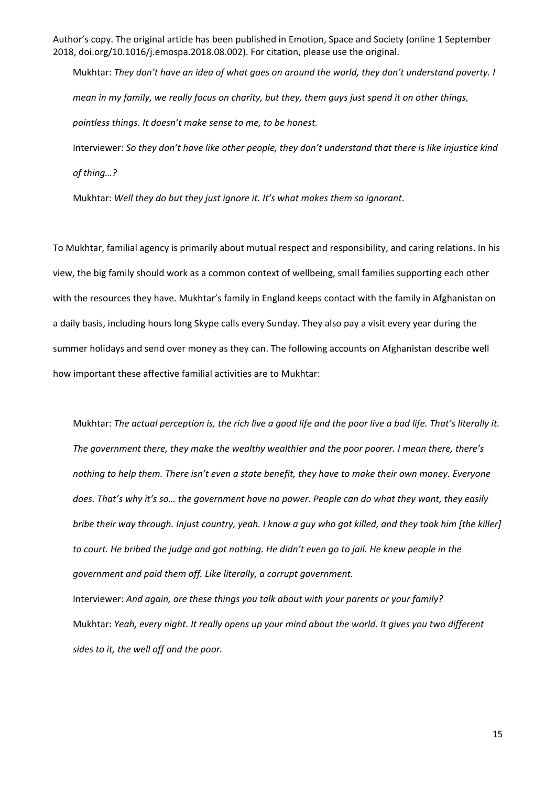Mukhtar: *They don't have an idea of what goes on around the world, they don't understand poverty. I mean in my family, we really focus on charity, but they, them guys just spend it on other things, pointless things. It doesn't make sense to me, to be honest.*

Interviewer: *So they don't have like other people, they don't understand that there is like injustice kind of thing…?*

Mukhtar: *Well they do but they just ignore it. It's what makes them so ignorant*.

To Mukhtar, familial agency is primarily about mutual respect and responsibility, and caring relations. In his view, the big family should work as a common context of wellbeing, small families supporting each other with the resources they have. Mukhtar's family in England keeps contact with the family in Afghanistan on a daily basis, including hours long Skype calls every Sunday. They also pay a visit every year during the summer holidays and send over money as they can. The following accounts on Afghanistan describe well how important these affective familial activities are to Mukhtar:

Mukhtar: *The actual perception is, the rich live a good life and the poor live a bad life. That's literally it. The government there, they make the wealthy wealthier and the poor poorer. I mean there, there's nothing to help them. There isn't even a state benefit, they have to make their own money. Everyone does. That's why it's so… the government have no power. People can do what they want, they easily bribe their way through. Injust country, yeah. I know a guy who got killed, and they took him [the killer] to court. He bribed the judge and got nothing. He didn't even go to jail. He knew people in the government and paid them off. Like literally, a corrupt government.*  Interviewer: *And again, are these things you talk about with your parents or your family?* Mukhtar: *Yeah, every night. It really opens up your mind about the world. It gives you two different sides to it, the well off and the poor.*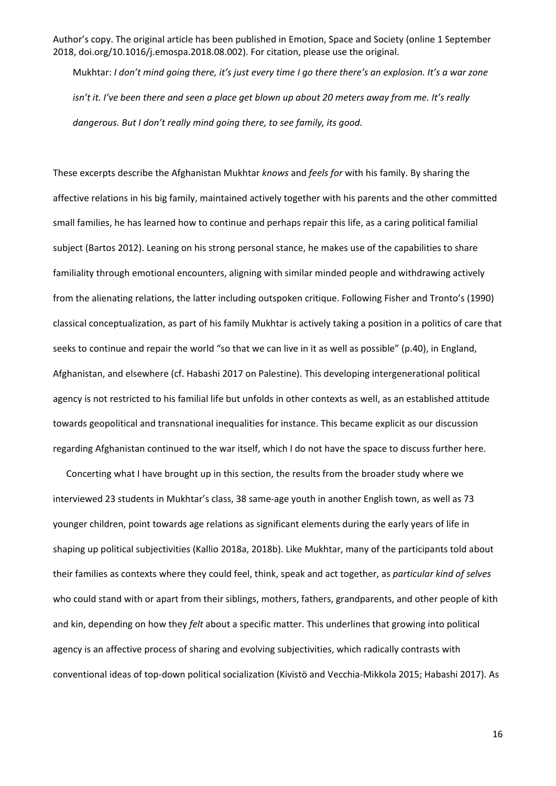Mukhtar: *I don't mind going there, it's just every time I go there there's an explosion. It's a war zone isn't it. I've been there and seen a place get blown up about 20 meters away from me. It's really dangerous. But I don't really mind going there, to see family, its good.*

These excerpts describe the Afghanistan Mukhtar *knows* and *feels for* with his family. By sharing the affective relations in his big family, maintained actively together with his parents and the other committed small families, he has learned how to continue and perhaps repair this life, as a caring political familial subject (Bartos 2012). Leaning on his strong personal stance, he makes use of the capabilities to share familiality through emotional encounters, aligning with similar minded people and withdrawing actively from the alienating relations, the latter including outspoken critique. Following Fisher and Tronto's (1990) classical conceptualization, as part of his family Mukhtar is actively taking a position in a politics of care that seeks to continue and repair the world "so that we can live in it as well as possible" (p.40), in England, Afghanistan, and elsewhere (cf. Habashi 2017 on Palestine). This developing intergenerational political agency is not restricted to his familial life but unfolds in other contexts as well, as an established attitude towards geopolitical and transnational inequalities for instance. This became explicit as our discussion regarding Afghanistan continued to the war itself, which I do not have the space to discuss further here.

Concerting what I have brought up in this section, the results from the broader study where we interviewed 23 students in Mukhtar's class, 38 same-age youth in another English town, as well as 73 younger children, point towards age relations as significant elements during the early years of life in shaping up political subjectivities (Kallio 2018a, 2018b). Like Mukhtar, many of the participants told about their families as contexts where they could feel, think, speak and act together, as *particular kind of selves*  who could stand with or apart from their siblings, mothers, fathers, grandparents, and other people of kith and kin, depending on how they *felt* about a specific matter. This underlines that growing into political agency is an affective process of sharing and evolving subjectivities, which radically contrasts with conventional ideas of top-down political socialization (Kivistö and Vecchia-Mikkola 2015; Habashi 2017). As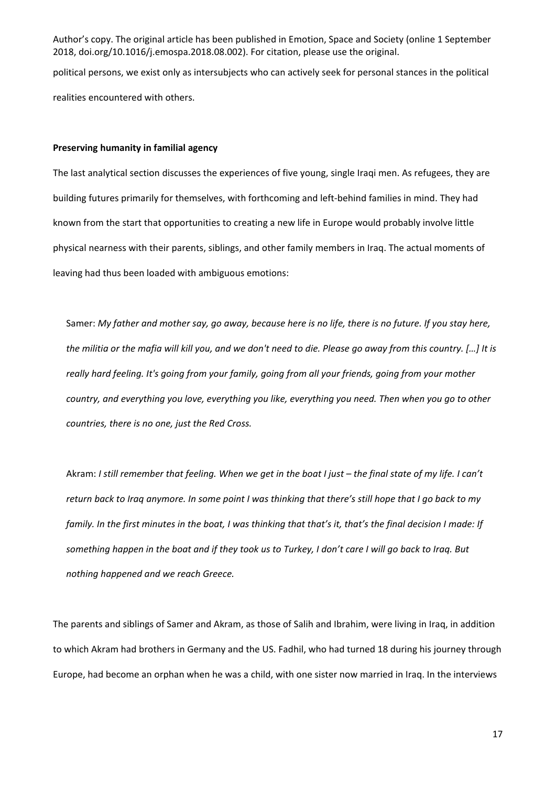political persons, we exist only as intersubjects who can actively seek for personal stances in the political realities encountered with others.

# **Preserving humanity in familial agency**

The last analytical section discusses the experiences of five young, single Iraqi men. As refugees, they are building futures primarily for themselves, with forthcoming and left-behind families in mind. They had known from the start that opportunities to creating a new life in Europe would probably involve little physical nearness with their parents, siblings, and other family members in Iraq. The actual moments of leaving had thus been loaded with ambiguous emotions:

Samer: *My father and mother say, go away, because here is no life, there is no future. If you stay here, the militia or the mafia will kill you, and we don't need to die. Please go away from this country. […] It is really hard feeling. It's going from your family, going from all your friends, going from your mother country, and everything you love, everything you like, everything you need. Then when you go to other countries, there is no one, just the Red Cross.*

Akram: *I still remember that feeling. When we get in the boat I just – the final state of my life. I can't return back to Iraq anymore. In some point I was thinking that there's still hope that I go back to my family. In the first minutes in the boat, I was thinking that that's it, that's the final decision I made: If something happen in the boat and if they took us to Turkey, I don't care I will go back to Iraq. But nothing happened and we reach Greece.*

The parents and siblings of Samer and Akram, as those of Salih and Ibrahim, were living in Iraq, in addition to which Akram had brothers in Germany and the US. Fadhil, who had turned 18 during his journey through Europe, had become an orphan when he was a child, with one sister now married in Iraq. In the interviews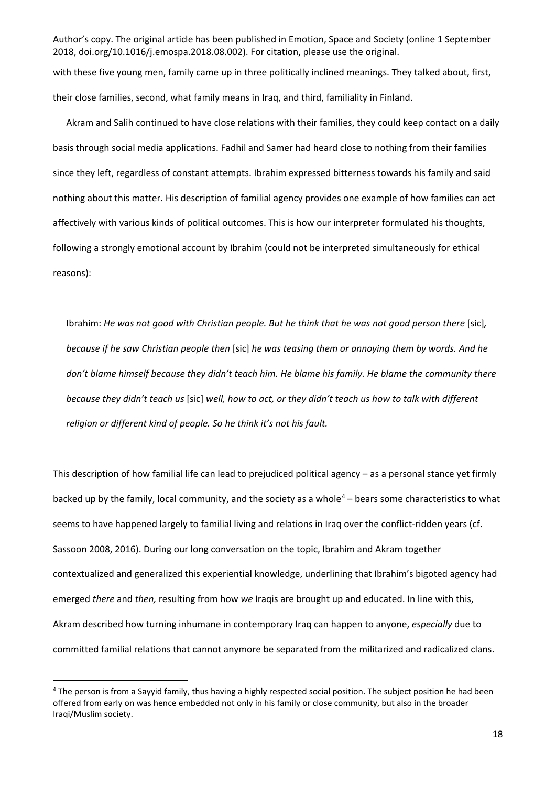Author's copy. The original article has been published in Emotion, Space and Society (online 1 September 2018, doi.org/10.1016/j.emospa.2018.08.002). For citation, please use the original. with these five young men, family came up in three politically inclined meanings. They talked about, first, their close families, second, what family means in Iraq, and third, familiality in Finland.

Akram and Salih continued to have close relations with their families, they could keep contact on a daily basis through social media applications. Fadhil and Samer had heard close to nothing from their families since they left, regardless of constant attempts. Ibrahim expressed bitterness towards his family and said nothing about this matter. His description of familial agency provides one example of how families can act affectively with various kinds of political outcomes. This is how our interpreter formulated his thoughts, following a strongly emotional account by Ibrahim (could not be interpreted simultaneously for ethical reasons):

Ibrahim: *He was not good with Christian people. But he think that he was not good person there [sic], because if he saw Christian people then* [sic] *he was teasing them or annoying them by words. And he don't blame himself because they didn't teach him. He blame his family. He blame the community there because they didn't teach us* [sic] *well, how to act, or they didn't teach us how to talk with different religion or different kind of people. So he think it's not his fault.*

This description of how familial life can lead to prejudiced political agency – as a personal stance yet firmly backed up by the family, local community, and the society as a whole<sup>[4](#page-17-0)</sup> – bears some characteristics to what seems to have happened largely to familial living and relations in Iraq over the conflict-ridden years (cf. Sassoon 2008, 2016). During our long conversation on the topic, Ibrahim and Akram together contextualized and generalized this experiential knowledge, underlining that Ibrahim's bigoted agency had emerged *there* and *then,* resulting from how *we* Iraqis are brought up and educated. In line with this, Akram described how turning inhumane in contemporary Iraq can happen to anyone, *especially* due to committed familial relations that cannot anymore be separated from the militarized and radicalized clans.

<span id="page-17-0"></span><sup>&</sup>lt;sup>4</sup> The person is from a Sayyid family, thus having a highly respected social position. The subject position he had been offered from early on was hence embedded not only in his family or close community, but also in the broader Iraqi/Muslim society.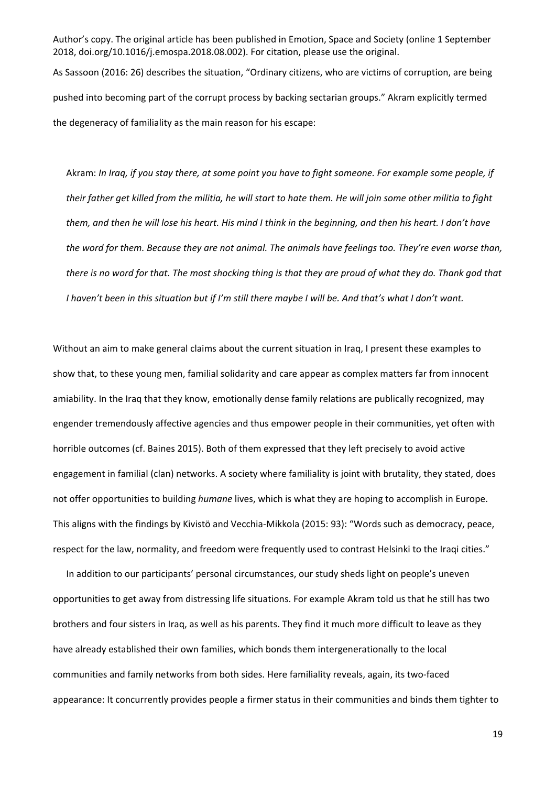As Sassoon (2016: 26) describes the situation, "Ordinary citizens, who are victims of corruption, are being pushed into becoming part of the corrupt process by backing sectarian groups." Akram explicitly termed the degeneracy of familiality as the main reason for his escape:

Akram: *In Iraq, if you stay there, at some point you have to fight someone. For example some people, if their father get killed from the militia, he will start to hate them. He will join some other militia to fight them, and then he will lose his heart. His mind I think in the beginning, and then his heart. I don't have the word for them. Because they are not animal. The animals have feelings too. They're even worse than, there is no word for that. The most shocking thing is that they are proud of what they do. Thank god that I haven't been in this situation but if I'm still there maybe I will be. And that's what I don't want.*

Without an aim to make general claims about the current situation in Iraq, I present these examples to show that, to these young men, familial solidarity and care appear as complex matters far from innocent amiability. In the Iraq that they know, emotionally dense family relations are publically recognized, may engender tremendously affective agencies and thus empower people in their communities, yet often with horrible outcomes (cf. Baines 2015). Both of them expressed that they left precisely to avoid active engagement in familial (clan) networks. A society where familiality is joint with brutality, they stated, does not offer opportunities to building *humane* lives, which is what they are hoping to accomplish in Europe. This aligns with the findings by Kivistö and Vecchia-Mikkola (2015: 93): "Words such as democracy, peace, respect for the law, normality, and freedom were frequently used to contrast Helsinki to the Iraqi cities."

In addition to our participants' personal circumstances, our study sheds light on people's uneven opportunities to get away from distressing life situations. For example Akram told us that he still has two brothers and four sisters in Iraq, as well as his parents. They find it much more difficult to leave as they have already established their own families, which bonds them intergenerationally to the local communities and family networks from both sides. Here familiality reveals, again, its two-faced appearance: It concurrently provides people a firmer status in their communities and binds them tighter to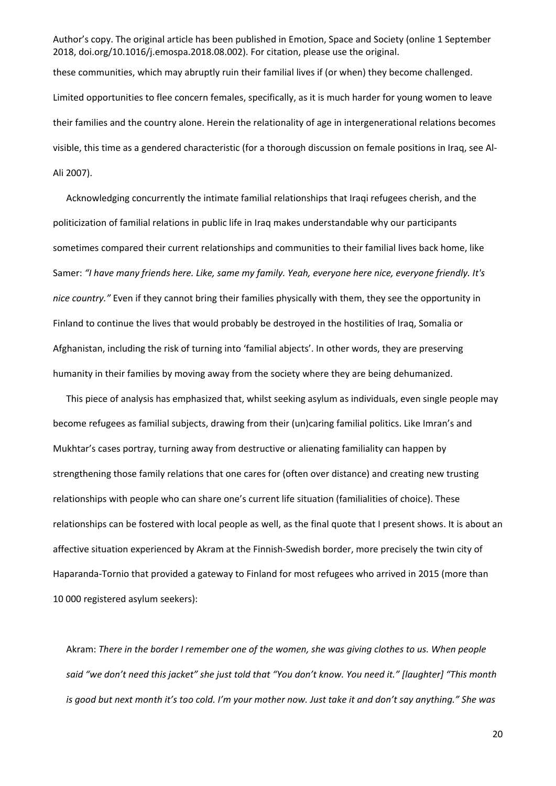these communities, which may abruptly ruin their familial lives if (or when) they become challenged. Limited opportunities to flee concern females, specifically, as it is much harder for young women to leave their families and the country alone. Herein the relationality of age in intergenerational relations becomes visible, this time as a gendered characteristic (for a thorough discussion on female positions in Iraq, see Al-Ali 2007).

Acknowledging concurrently the intimate familial relationships that Iraqi refugees cherish, and the politicization of familial relations in public life in Iraq makes understandable why our participants sometimes compared their current relationships and communities to their familial lives back home, like Samer: *"I have many friends here. Like, same my family. Yeah, everyone here nice, everyone friendly. It's nice country."* Even if they cannot bring their families physically with them, they see the opportunity in Finland to continue the lives that would probably be destroyed in the hostilities of Iraq, Somalia or Afghanistan, including the risk of turning into 'familial abjects'. In other words, they are preserving humanity in their families by moving away from the society where they are being dehumanized.

This piece of analysis has emphasized that, whilst seeking asylum as individuals, even single people may become refugees as familial subjects, drawing from their (un)caring familial politics. Like Imran's and Mukhtar's cases portray, turning away from destructive or alienating familiality can happen by strengthening those family relations that one cares for (often over distance) and creating new trusting relationships with people who can share one's current life situation (familialities of choice). These relationships can be fostered with local people as well, as the final quote that I present shows. It is about an affective situation experienced by Akram at the Finnish-Swedish border, more precisely the twin city of Haparanda-Tornio that provided a gateway to Finland for most refugees who arrived in 2015 (more than 10 000 registered asylum seekers):

Akram: *There in the border I remember one of the women, she was giving clothes to us. When people said "we don't need this jacket" she just told that "You don't know. You need it." [laughter] "This month is good but next month it's too cold. I'm your mother now. Just take it and don't say anything." She was*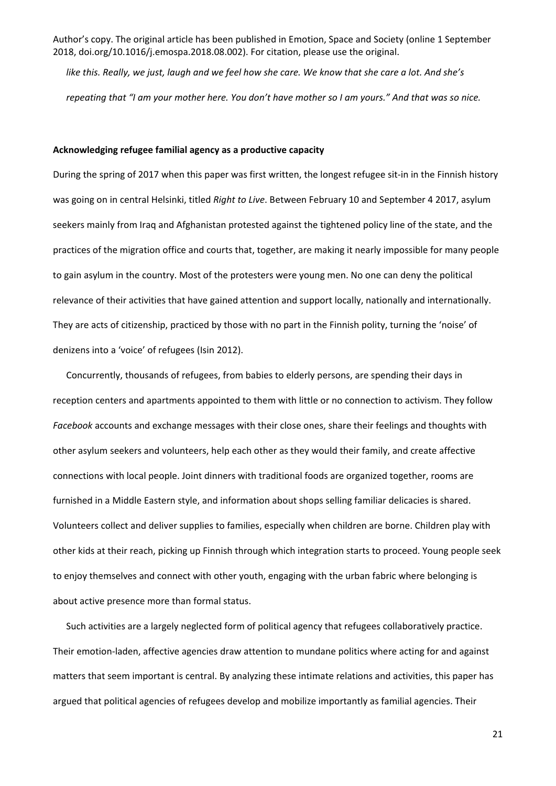*like this. Really, we just, laugh and we feel how she care. We know that she care a lot. And she's repeating that "I am your mother here. You don't have mother so I am yours." And that was so nice.* 

# **Acknowledging refugee familial agency as a productive capacity**

During the spring of 2017 when this paper was first written, the longest refugee sit-in in the Finnish history was going on in central Helsinki, titled *Right to Live*. Between February 10 and September 4 2017, asylum seekers mainly from Iraq and Afghanistan protested against the tightened policy line of the state, and the practices of the migration office and courts that, together, are making it nearly impossible for many people to gain asylum in the country. Most of the protesters were young men. No one can deny the political relevance of their activities that have gained attention and support locally, nationally and internationally. They are acts of citizenship, practiced by those with no part in the Finnish polity, turning the 'noise' of denizens into a 'voice' of refugees (Isin 2012).

Concurrently, thousands of refugees, from babies to elderly persons, are spending their days in reception centers and apartments appointed to them with little or no connection to activism. They follow *Facebook* accounts and exchange messages with their close ones, share their feelings and thoughts with other asylum seekers and volunteers, help each other as they would their family, and create affective connections with local people. Joint dinners with traditional foods are organized together, rooms are furnished in a Middle Eastern style, and information about shops selling familiar delicacies is shared. Volunteers collect and deliver supplies to families, especially when children are borne. Children play with other kids at their reach, picking up Finnish through which integration starts to proceed. Young people seek to enjoy themselves and connect with other youth, engaging with the urban fabric where belonging is about active presence more than formal status.

Such activities are a largely neglected form of political agency that refugees collaboratively practice. Their emotion-laden, affective agencies draw attention to mundane politics where acting for and against matters that seem important is central. By analyzing these intimate relations and activities, this paper has argued that political agencies of refugees develop and mobilize importantly as familial agencies. Their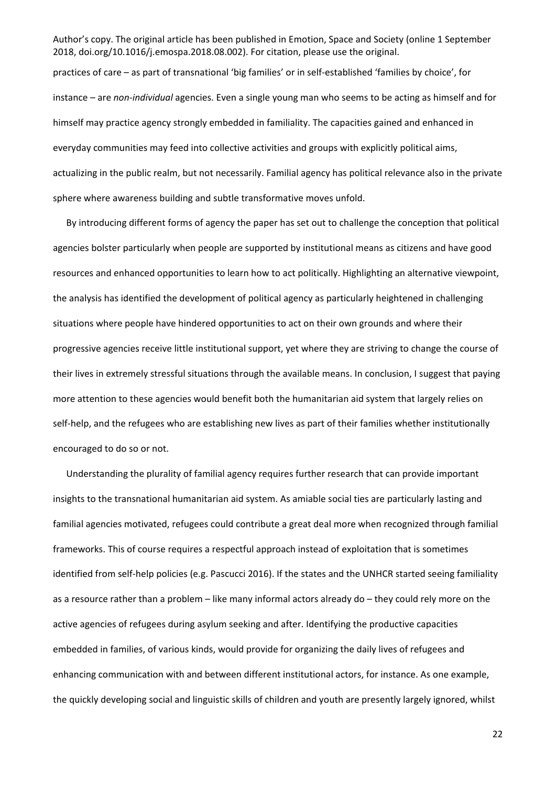practices of care – as part of transnational 'big families' or in self-established 'families by choice', for instance – are *non-individual* agencies. Even a single young man who seems to be acting as himself and for himself may practice agency strongly embedded in familiality. The capacities gained and enhanced in everyday communities may feed into collective activities and groups with explicitly political aims, actualizing in the public realm, but not necessarily. Familial agency has political relevance also in the private sphere where awareness building and subtle transformative moves unfold.

By introducing different forms of agency the paper has set out to challenge the conception that political agencies bolster particularly when people are supported by institutional means as citizens and have good resources and enhanced opportunities to learn how to act politically. Highlighting an alternative viewpoint, the analysis has identified the development of political agency as particularly heightened in challenging situations where people have hindered opportunities to act on their own grounds and where their progressive agencies receive little institutional support, yet where they are striving to change the course of their lives in extremely stressful situations through the available means. In conclusion, I suggest that paying more attention to these agencies would benefit both the humanitarian aid system that largely relies on self-help, and the refugees who are establishing new lives as part of their families whether institutionally encouraged to do so or not.

Understanding the plurality of familial agency requires further research that can provide important insights to the transnational humanitarian aid system. As amiable social ties are particularly lasting and familial agencies motivated, refugees could contribute a great deal more when recognized through familial frameworks. This of course requires a respectful approach instead of exploitation that is sometimes identified from self-help policies (e.g. Pascucci 2016). If the states and the UNHCR started seeing familiality as a resource rather than a problem – like many informal actors already do – they could rely more on the active agencies of refugees during asylum seeking and after. Identifying the productive capacities embedded in families, of various kinds, would provide for organizing the daily lives of refugees and enhancing communication with and between different institutional actors, for instance. As one example, the quickly developing social and linguistic skills of children and youth are presently largely ignored, whilst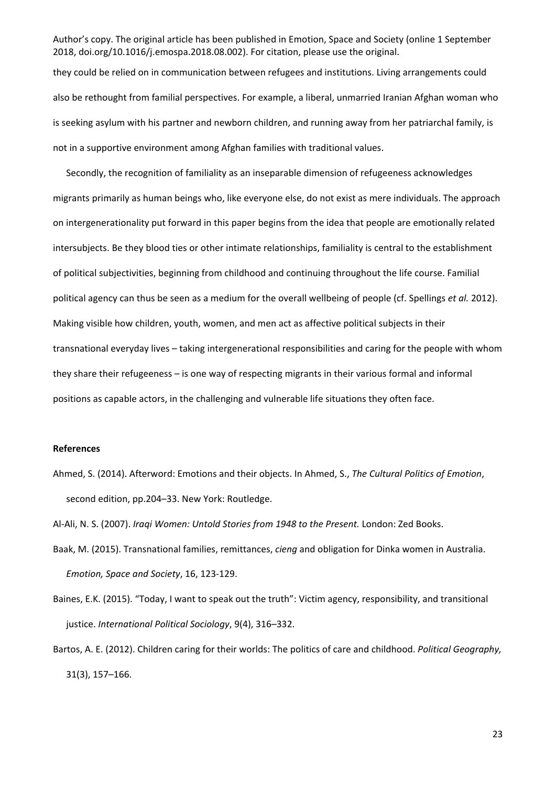they could be relied on in communication between refugees and institutions. Living arrangements could also be rethought from familial perspectives. For example, a liberal, unmarried Iranian Afghan woman who is seeking asylum with his partner and newborn children, and running away from her patriarchal family, is not in a supportive environment among Afghan families with traditional values.

Secondly, the recognition of familiality as an inseparable dimension of refugeeness acknowledges migrants primarily as human beings who, like everyone else, do not exist as mere individuals. The approach on intergenerationality put forward in this paper begins from the idea that people are emotionally related intersubjects. Be they blood ties or other intimate relationships, familiality is central to the establishment of political subjectivities, beginning from childhood and continuing throughout the life course. Familial political agency can thus be seen as a medium for the overall wellbeing of people (cf. Spellings *et al.* 2012). Making visible how children, youth, women, and men act as affective political subjects in their transnational everyday lives – taking intergenerational responsibilities and caring for the people with whom they share their refugeeness – is one way of respecting migrants in their various formal and informal positions as capable actors, in the challenging and vulnerable life situations they often face.

### **References**

- Ahmed, S. (2014). Afterword: Emotions and their objects. In Ahmed, S., *The Cultural Politics of Emotion*, second edition, pp.204–33. New York: Routledge.
- Al-Ali, N. S. (2007). *Iraqi Women: Untold Stories from 1948 to the Present.* London: Zed Books.
- Baak, M. (2015). Transnational families, remittances, *cieng* and obligation for Dinka women in Australia. *Emotion, Space and Society*, 16, 123-129.
- Baines, E.K. (2015). "Today, I want to speak out the truth": Victim agency, responsibility, and transitional justice. *International Political Sociology*, 9(4), 316–332.
- Bartos, A. E. (2012). Children caring for their worlds: The politics of care and childhood. *Political Geography,* 31(3), 157–166.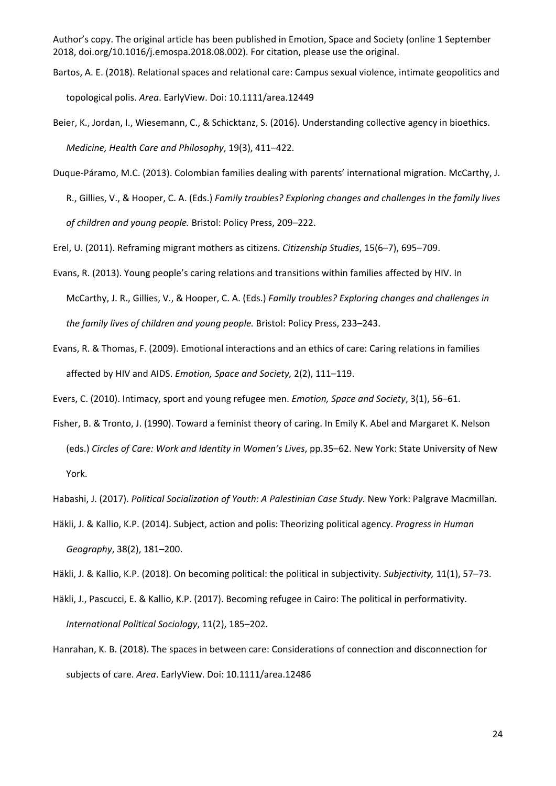- Bartos, A. E. (2018). Relational spaces and relational care: Campus sexual violence, intimate geopolitics and topological polis. *Area*. EarlyView. Doi: 10.1111/area.12449
- Beier, K., Jordan, I., Wiesemann, C., & Schicktanz, S. (2016). Understanding collective agency in bioethics. *Medicine, Health Care and Philosophy*, 19(3), 411–422.
- Duque-Páramo, M.C. (2013). Colombian families dealing with parents' international migration. McCarthy, J. R., Gillies, V., & Hooper, C. A. (Eds.) *Family troubles? Exploring changes and challenges in the family lives of children and young people.* Bristol: Policy Press, 209–222.

Erel, U. (2011). Reframing migrant mothers as citizens. *Citizenship Studies*, 15(6–7), 695–709.

- Evans, R. (2013). Young people's caring relations and transitions within families affected by HIV. In McCarthy, J. R., Gillies, V., & Hooper, C. A. (Eds.) *Family troubles? Exploring changes and challenges in the family lives of children and young people.* Bristol: Policy Press, 233–243.
- Evans, R. & Thomas, F. (2009). Emotional interactions and an ethics of care: Caring relations in families affected by HIV and AIDS. *Emotion, Space and Society,* 2(2), 111–119.
- Evers, C. (2010). Intimacy, sport and young refugee men. *Emotion, Space and Society*, 3(1), 56–61.
- Fisher, B. & Tronto, J. (1990). Toward a feminist theory of caring. In Emily K. Abel and Margaret K. Nelson (eds.) *Circles of Care: Work and Identity in Women's Lives*, pp.35–62. New York: State University of New York.

Habashi, J. (2017). *Political Socialization of Youth: A Palestinian Case Study.* New York: Palgrave Macmillan.

Häkli, J. & Kallio, K.P. (2014). Subject, action and polis: Theorizing political agency. *Progress in Human Geography*, 38(2), 181–200.

- Häkli, J., Pascucci, E. & Kallio, K.P. (2017). Becoming refugee in Cairo: The political in performativity. *International Political Sociology*, 11(2), 185–202.
- Hanrahan, K. B. (2018). The spaces in between care: Considerations of connection and disconnection for subjects of care. *Area*. EarlyView. Doi: 10.1111/area.12486

Häkli, J. & Kallio, K.P. (2018). On becoming political: the political in subjectivity. *Subjectivity,* 11(1), 57–73.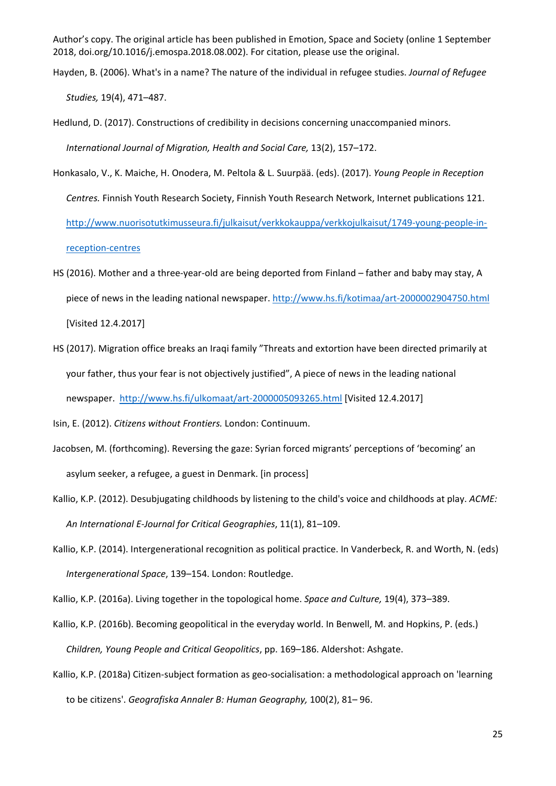Hayden, B. (2006). What's in a name? The nature of the individual in refugee studies. *Journal of Refugee* 

*Studies,* 19(4), 471–487.

Hedlund, D. (2017). Constructions of credibility in decisions concerning unaccompanied minors.

*International Journal of Migration, Health and Social Care,* 13(2), 157–172.

- Honkasalo, V., K. Maiche, H. Onodera, M. Peltola & L. Suurpää. (eds). (2017). *Young People in Reception Centres.* Finnish Youth Research Society, Finnish Youth Research Network, Internet publications 121. [http://www.nuorisotutkimusseura.fi/julkaisut/verkkokauppa/verkkojulkaisut/1749-young-people-in](http://www.nuorisotutkimusseura.fi/julkaisut/verkkokauppa/verkkojulkaisut/1749-young-people-in-reception-centres)[reception-centres](http://www.nuorisotutkimusseura.fi/julkaisut/verkkokauppa/verkkojulkaisut/1749-young-people-in-reception-centres)
- HS (2016). Mother and a three-year-old are being deported from Finland father and baby may stay, A piece of news in the leading national newspaper.<http://www.hs.fi/kotimaa/art-2000002904750.html> [Visited 12.4.2017]
- HS (2017). Migration office breaks an Iraqi family "Threats and extortion have been directed primarily at your father, thus your fear is not objectively justified", A piece of news in the leading national newspaper. <http://www.hs.fi/ulkomaat/art-2000005093265.html> [Visited 12.4.2017]

Isin, E. (2012). *Citizens without Frontiers.* London: Continuum.

- Jacobsen, M. (forthcoming). Reversing the gaze: Syrian forced migrants' perceptions of 'becoming' an asylum seeker, a refugee, a guest in Denmark. [in process]
- Kallio, K.P. (2012). Desubjugating childhoods by listening to the child's voice and childhoods at play. *ACME: An International E-Journal for Critical Geographies*, 11(1), 81–109.
- Kallio, K.P. (2014). Intergenerational recognition as political practice. In Vanderbeck, R. and Worth, N. (eds) *Intergenerational Space*, 139–154. London: Routledge.

Kallio, K.P. (2016a). Living together in the topological home. *Space and Culture,* 19(4), 373–389.

- Kallio, K.P. (2016b). Becoming geopolitical in the everyday world. In Benwell, M. and Hopkins, P. (eds.) *Children, Young People and Critical Geopolitics*, pp. 169–186. Aldershot: Ashgate.
- Kallio, K.P. (2018a) Citizen-subject formation as geo-socialisation: a methodological approach on 'learning to be citizens'. *Geografiska Annaler B: Human Geography,* 100(2), 81– 96.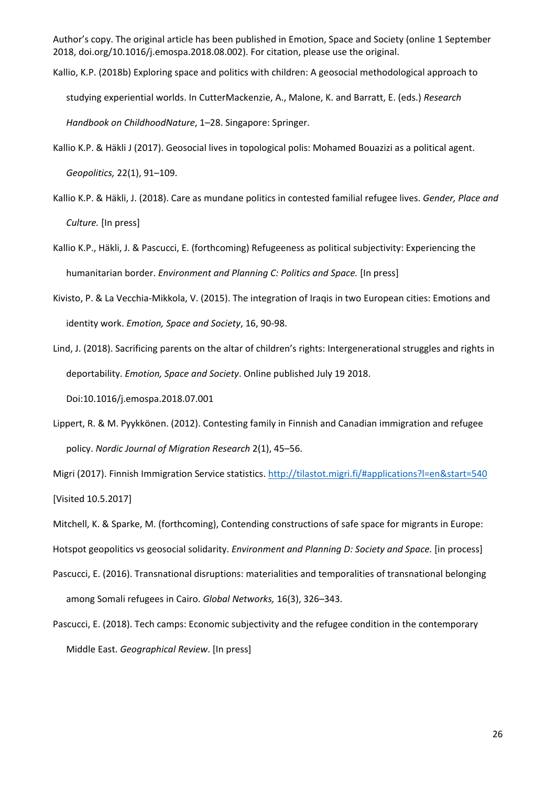Kallio, K.P. (2018b) Exploring space and politics with children: A geosocial methodological approach to studying experiential worlds. In CutterMackenzie, A., Malone, K. and Barratt, E. (eds.) *Research Handbook on ChildhoodNature*, 1–28. Singapore: Springer.

- Kallio K.P. & Häkli J (2017). Geosocial lives in topological polis: Mohamed Bouazizi as a political agent. *Geopolitics,* 22(1), 91–109.
- Kallio K.P. & Häkli, J. (2018). Care as mundane politics in contested familial refugee lives. *Gender, Place and Culture.* [In press]
- Kallio K.P., Häkli, J. & Pascucci, E. (forthcoming) Refugeeness as political subjectivity: Experiencing the humanitarian border. *Environment and Planning C: Politics and Space.* [In press]
- Kivisto, P. & La Vecchia-Mikkola, V. (2015). The integration of Iraqis in two European cities: Emotions and identity work. *Emotion, Space and Society*, 16, 90-98.

Lind, J. (2018). Sacrificing parents on the altar of children's rights: Intergenerational struggles and rights in deportability. *Emotion, Space and Society*. Online published July 19 2018. Doi:10.1016/j.emospa.2018.07.001

Lippert, R. & M. Pyykkönen. (2012). Contesting family in Finnish and Canadian immigration and refugee policy. *Nordic Journal of Migration Research* 2(1), 45–56.

Migri (2017). Finnish Immigration Service statistics.<http://tilastot.migri.fi/#applications?l=en&start=540> [Visited 10.5.2017]

Mitchell, K. & Sparke, M. (forthcoming), Contending constructions of safe space for migrants in Europe:

Hotspot geopolitics vs geosocial solidarity. *Environment and Planning D: Society and Space.* [in process]

- Pascucci, E. (2016). Transnational disruptions: materialities and temporalities of transnational belonging among Somali refugees in Cairo. *Global Networks,* 16(3), 326–343.
- Pascucci, E. (2018). Tech camps: Economic subjectivity and the refugee condition in the contemporary Middle East. *Geographical Review*. [In press]